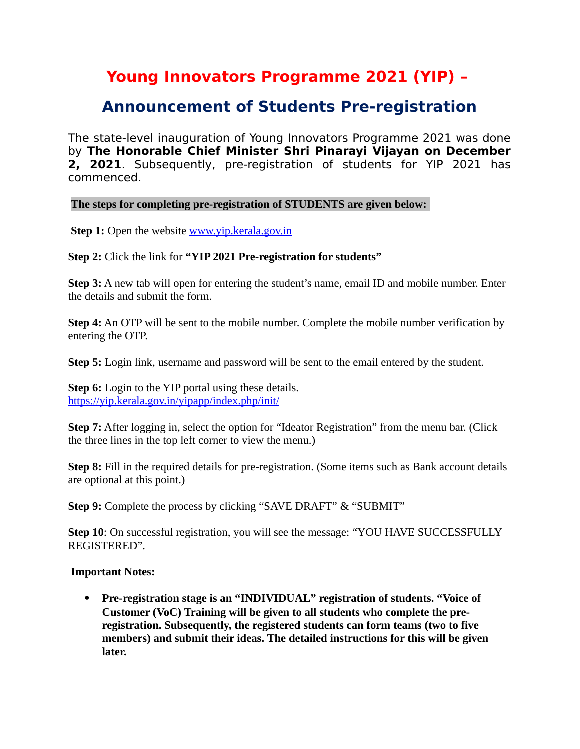## **Young Innovators Programme 2021 (YIP) –**

## **Announcement of Students Pre-registration**

The state-level inauguration of Young Innovators Programme 2021 was done by **The Honorable Chief Minister Shri Pinarayi Vijayan on December 2, 2021**. Subsequently, pre-registration of students for YIP 2021 has commenced.

**The steps for completing pre-registration of STUDENTS are given below:** 

**Step 1:** Open the website [www.yip.kerala.gov.in](http://www.yip.kerala.gov.in/)

**Step 2:** Click the link for **"YIP 2021 Pre-registration for students"**

**Step 3:** A new tab will open for entering the student's name, email ID and mobile number. Enter the details and submit the form.

**Step 4:** An OTP will be sent to the mobile number. Complete the mobile number verification by entering the OTP.

**Step 5:** Login link, username and password will be sent to the email entered by the student.

**Step 6:** Login to the YIP portal using these details. <https://yip.kerala.gov.in/yipapp/index.php/init/>

**Step 7:** After logging in, select the option for "Ideator Registration" from the menu bar. (Click the three lines in the top left corner to view the menu.)

**Step 8:** Fill in the required details for pre-registration. (Some items such as Bank account details are optional at this point.)

**Step 9:** Complete the process by clicking "SAVE DRAFT" & "SUBMIT"

**Step 10**: On successful registration, you will see the message: "YOU HAVE SUCCESSFULLY REGISTERED".

## **Important Notes:**

 **Pre-registration stage is an "INDIVIDUAL" registration of students. "Voice of Customer (VoC) Training will be given to all students who complete the preregistration. Subsequently, the registered students can form teams (two to five members) and submit their ideas. The detailed instructions for this will be given later.**